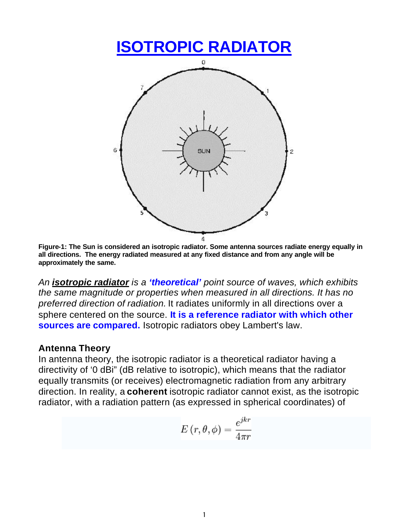

**Figure-1: The Sun is considered an isotropic radiator. Some antenna sources radiate energy equally in all directions. The energy radiated measured at any fixed distance and from any angle will be approximately the same.**

*An isotropic radiator is a 'theoretical' point source of waves, which exhibits the same magnitude or properties when measured in all directions. It has no preferred direction of radiation.* It radiates uniformly in all directions over a sphere centered on the source. **It is a reference radiator with which other sources are compared.** Isotropic radiators obey Lambert's law.

## **Antenna Theory**

In antenna theory, the isotropic radiator is a theoretical radiator having a directivity of '0 dBi" (dB relative to isotropic), which means that the radiator equally transmits (or receives) electromagnetic radiation from any arbitrary direction. In reality, a **coherent** isotropic radiator cannot exist, as the isotropic radiator, with a radiation pattern (as expressed in spherical coordinates) of

$$
E\left(r,\theta,\phi\right)=\frac{e^{jkr}}{4\pi r}
$$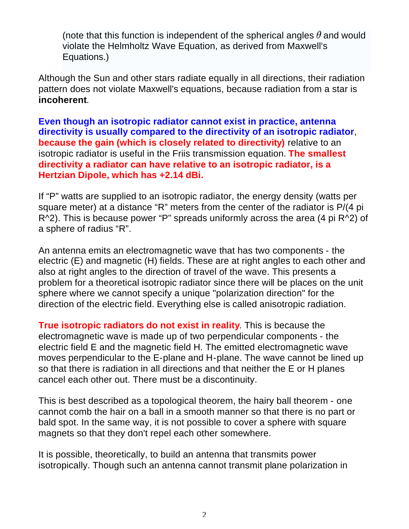(note that this function is independent of the spherical angles  $\theta$  and would violate the Helmholtz Wave Equation, as derived from Maxwell's Equations.)

Although the Sun and other stars radiate equally in all directions, their radiation pattern does not violate Maxwell's equations, because radiation from a star is **incoherent**.

**Even though an isotropic radiator cannot exist in practice, antenna directivity is usually compared to the directivity of an isotropic radiator**, **because the gain (which is closely related to directivity)** relative to an isotropic radiator is useful in the Friis transmission equation. **The smallest directivity a radiator can have relative to an isotropic radiator, is a Hertzian Dipole, which has +2.14 dBi.**

If "P" watts are supplied to an isotropic radiator, the energy density (watts per square meter) at a distance "R" meters from the center of the radiator is P/(4 pi R^2). This is because power "P" spreads uniformly across the area (4 pi R^2) of a sphere of radius "R".

An antenna emits an electromagnetic wave that has two components - the electric (E) and magnetic (H) fields. These are at right angles to each other and also at right angles to the direction of travel of the wave. This presents a problem for a theoretical isotropic radiator since there will be places on the unit sphere where we cannot specify a unique "polarization direction" for the direction of the electric field. Everything else is called anisotropic radiation.

**True isotropic radiators do not exist in reality**. This is because the electromagnetic wave is made up of two perpendicular components - the electric field E and the magnetic field H. The emitted electromagnetic wave moves perpendicular to the E-plane and H-plane. The wave cannot be lined up so that there is radiation in all directions and that neither the E or H planes cancel each other out. There must be a discontinuity.

This is best described as a topological theorem, the hairy ball theorem - one cannot comb the hair on a ball in a smooth manner so that there is no part or bald spot. In the same way, it is not possible to cover a sphere with square magnets so that they don't repel each other somewhere.

It is possible, theoretically, to build an antenna that transmits power isotropically. Though such an antenna cannot transmit plane polarization in